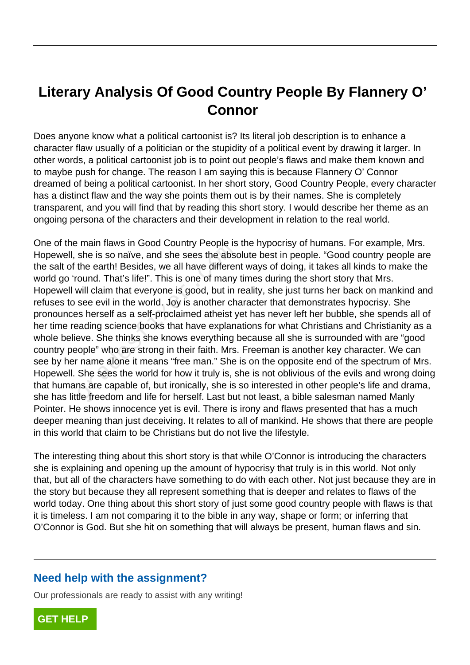## **Literary Analysis Of Good Country People By Flannery O' Connor**

Does anyone know what a political cartoonist is? Its literal job description is to enhance a character flaw usually of a politician or the stupidity of a political event by drawing it larger. In other words, a political cartoonist job is to point out people's flaws and make them known and to maybe push for change. The reason I am saying this is because Flannery O' Connor dreamed of being a political cartoonist. In her short story, Good Country People, every character has a distinct flaw and the way she points them out is by their names. She is completely transparent, and you will find that by reading this short story. I would describe her theme as an ongoing persona of the characters and their development in relation to the real world.

One of the main flaws in Good Country People is the hypocrisy of humans. For example, Mrs. Hopewell, she is so naïve, and she sees the absolute best in people. "Good country people are the salt of the earth! Besides, we all have different ways of doing, it takes all kinds to make the world go 'round. That's life!". This is one of many times during the short story that Mrs. Hopewell will claim that everyone is good, but in reality, she just turns her back on mankind and refuses to see evil in the world. Joy is another character that demonstrates hypocrisy. She pronounces herself as a self-proclaimed atheist yet has never left her bubble, she spends all of her time reading science books that have explanations for what Christians and Christianity as a whole believe. She thinks she knows everything because all she is surrounded with are "good country people" who are strong in their faith. Mrs. Freeman is another key character. We can see by her name alone it means "free man." She is on the opposite end of the spectrum of Mrs. Hopewell. She sees the world for how it truly is, she is not oblivious of the evils and wrong doing that humans are capable of, but ironically, she is so interested in other people's life and drama, she has little freedom and life for herself. Last but not least, a bible salesman named Manly Pointer. He shows innocence yet is evil. There is irony and flaws presented that has a much deeper meaning than just deceiving. It relates to all of mankind. He shows that there are people in this world that claim to be Christians but do not live the lifestyle. The internal maws in Good Country Feople is<br>she is so naïve, and she sees the absect<br>the earth! Besides, we all have differer<br>ound. That's life!". This is one of many<br>will claim that everyone is good, but in<br>see evil in th

The interesting thing about this short story is that while O'Connor is introducing the characters she is explaining and opening up the amount of hypocrisy that truly is in this world. Not only that, but all of the characters have something to do with each other. Not just because they are in the story but because they all represent something that is deeper and relates to flaws of the world today. One thing about this short story of just some good country people with flaws is that it is timeless. I am not comparing it to the bible in any way, shape or form; or inferring that O'Connor is God. But she hit on something that will always be present, human flaws and sin.

## **Need help with the assignment?**

Our professionals are ready to assist with any writing!

**[GET HELP](https://my.gradesfixer.com/order?utm_campaign=pdf_sample)**